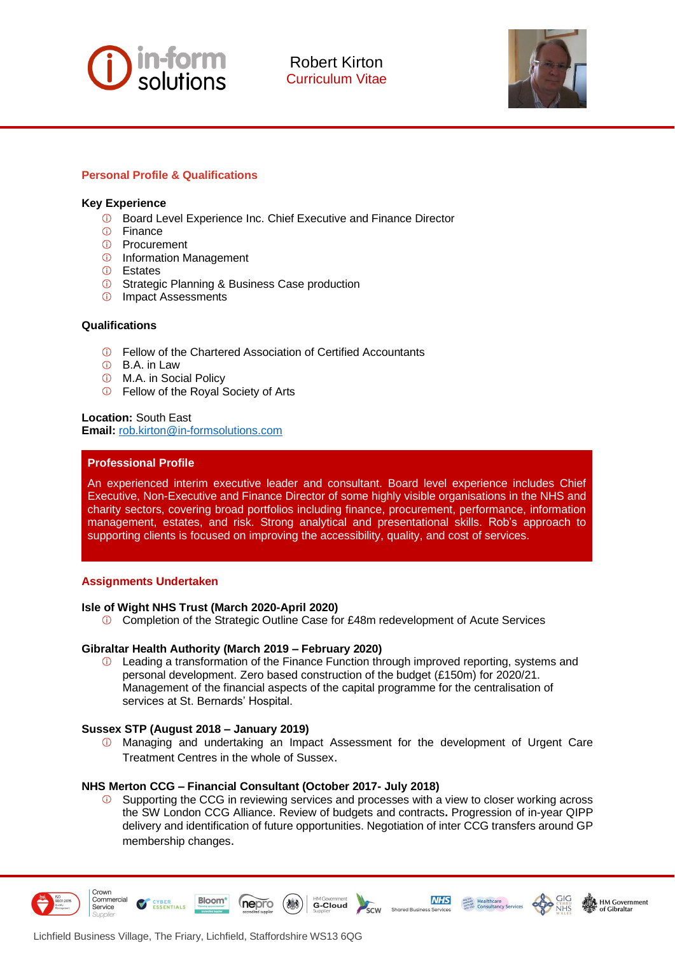

Robert Kirton Curriculum Vitae



# **Personal Profile & Qualifications**

### **Key Experience**

- **C** Board Level Experience Inc. Chief Executive and Finance Director
- *<b>O* Finance
- Procurement
- *<b>O* Information Management
- Estates
- **C** Strategic Planning & Business Case production
- *<b>O* Impact Assessments

## **Qualifications**

- Fellow of the Chartered Association of Certified Accountants
- B.A. in Law
- M.A. in Social Policy
- Fellow of the Royal Society of Arts

**Location:** South East **Email:** [rob.kirton@in-formsolutions.com](mailto:rob.kirton@in-formsolutions.com)

### **Professional Profile**

An experienced interim executive leader and consultant. Board level experience includes Chief Executive, Non-Executive and Finance Director of some highly visible organisations in the NHS and charity sectors, covering broad portfolios including finance, procurement, performance, information management, estates, and risk. Strong analytical and presentational skills. Rob's approach to supporting clients is focused on improving the accessibility, quality, and cost of services.

### **Assignments Undertaken**

### **Isle of Wight NHS Trust (March 2020-April 2020)**

Completion of the Strategic Outline Case for £48m redevelopment of Acute Services

### **Gibraltar Health Authority (March 2019 – February 2020)**

**C** Leading a transformation of the Finance Function through improved reporting, systems and personal development. Zero based construction of the budget (£150m) for 2020/21. Management of the financial aspects of the capital programme for the centralisation of services at St. Bernards' Hospital.

### **Sussex STP (August 2018 – January 2019)**

**1** Managing and undertaking an Impact Assessment for the development of Urgent Care Treatment Centres in the whole of Sussex.

### **NHS Merton CCG – Financial Consultant (October 2017- July 2018)**

Supporting the CCG in reviewing services and processes with a view to closer working across the SW London CCG Alliance. Review of budgets and contracts**.** Progression of in-year QIPP delivery and identification of future opportunities. Negotiation of inter CCG transfers around GP membership changes.

G-Cloud

 $\frac{1}{2}$ 

**NHS** 

**SANCE Healthcare**<br> **MARGE Healthcare**<br> **CONSULTANCY Services** 

**HM Government** 



Crown Commercial

Service



nepro

**Bloom** 

**ESSENTIALS**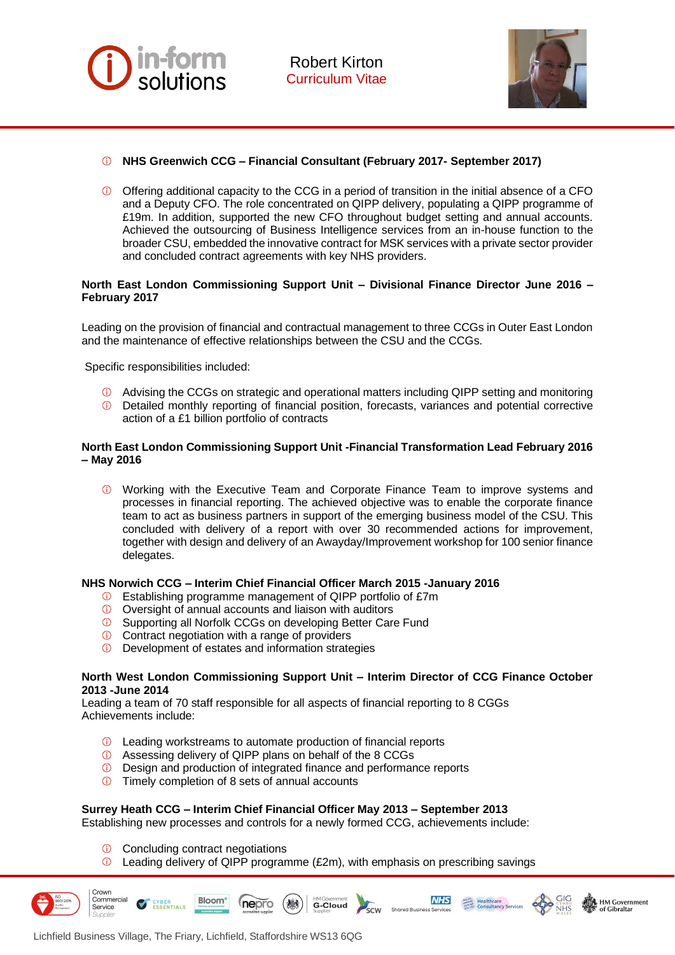



- **NHS Greenwich CCG – Financial Consultant (February 2017- September 2017)**
- $\bullet$  Offering additional capacity to the CCG in a period of transition in the initial absence of a CFO and a Deputy CFO. The role concentrated on QIPP delivery, populating a QIPP programme of £19m. In addition, supported the new CFO throughout budget setting and annual accounts. Achieved the outsourcing of Business Intelligence services from an in-house function to the broader CSU, embedded the innovative contract for MSK services with a private sector provider and concluded contract agreements with key NHS providers.

# **North East London Commissioning Support Unit – Divisional Finance Director June 2016 – February 2017**

Leading on the provision of financial and contractual management to three CCGs in Outer East London and the maintenance of effective relationships between the CSU and the CCGs.

Specific responsibilities included:

- Advising the CCGs on strategic and operational matters including QIPP setting and monitoring
- Detailed monthly reporting of financial position, forecasts, variances and potential corrective action of a £1 billion portfolio of contracts

## **North East London Commissioning Support Unit -Financial Transformation Lead February 2016 – May 2016**

Working with the Executive Team and Corporate Finance Team to improve systems and processes in financial reporting. The achieved objective was to enable the corporate finance team to act as business partners in support of the emerging business model of the CSU. This concluded with delivery of a report with over 30 recommended actions for improvement, together with design and delivery of an Awayday/Improvement workshop for 100 senior finance delegates.

# **NHS Norwich CCG – Interim Chief Financial Officer March 2015 -January 2016**

- Establishing programme management of QIPP portfolio of £7m
- Oversight of annual accounts and liaison with auditors
- **C** Supporting all Norfolk CCGs on developing Better Care Fund
- **C** Contract negotiation with a range of providers
- *O* Development of estates and information strategies

### **North West London Commissioning Support Unit – Interim Director of CCG Finance October 2013 -June 2014**

Leading a team of 70 staff responsible for all aspects of financial reporting to 8 CGGs Achievements include:

- Leading workstreams to automate production of financial reports
- Assessing delivery of QIPP plans on behalf of the 8 CCGs

nepro

- **D** Design and production of integrated finance and performance reports
- **Timely completion of 8 sets of annual accounts**

# **Surrey Heath CCG – Interim Chief Financial Officer May 2013 – September 2013**

Establishing new processes and controls for a newly formed CCG, achievements include:

**C** Concluding contract negotiations

CYBER<br>ESSENTIALS

 $\overline{O}$  Leading delivery of QIPP programme (£2m), with emphasis on prescribing savings

**G-Cloud** 

SCW

**Shared Busit** 

**NHS** 

**MARK Healthcare**<br> **MARK Healthcare**<br> **CONSULTER** Services

HM Government

Crown Commercial

Service



Bloom<sup>\*</sup>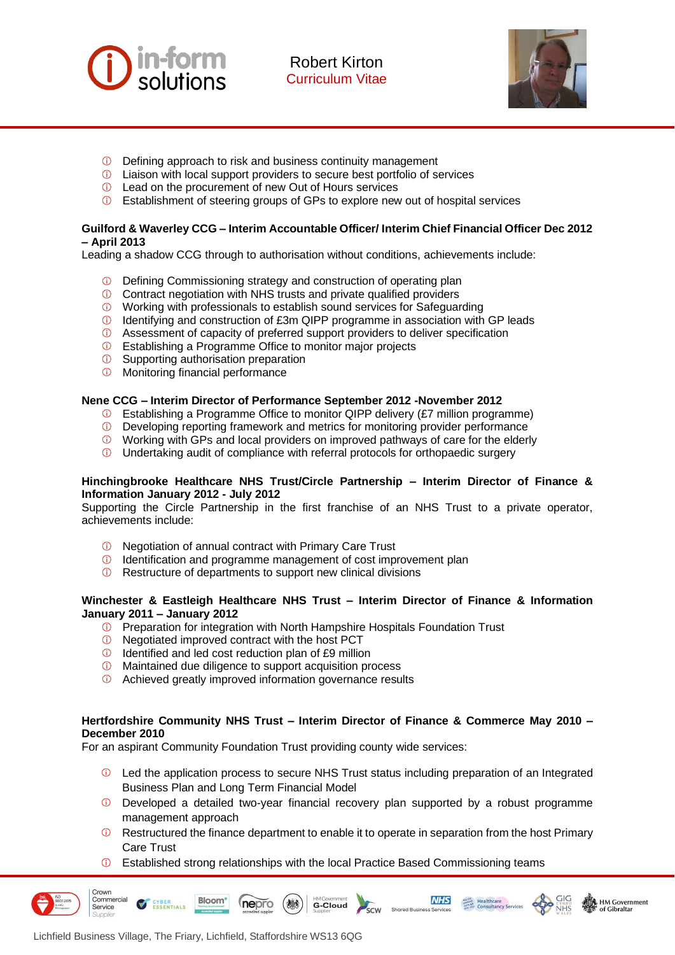

Robert Kirton Curriculum Vitae



- Defining approach to risk and business continuity management
- Liaison with local support providers to secure best portfolio of services
- **1** Lead on the procurement of new Out of Hours services
- Establishment of steering groups of GPs to explore new out of hospital services

# **Guilford & Waverley CCG – Interim Accountable Officer/ Interim Chief Financial Officer Dec 2012 – April 2013**

Leading a shadow CCG through to authorisation without conditions, achievements include:

- **D** Defining Commissioning strategy and construction of operating plan
- **C** Contract negotiation with NHS trusts and private qualified providers
- $\textcircled{1}$  Working with professionals to establish sound services for Safeguarding
- Identifying and construction of £3m QIPP programme in association with GP leads
- Assessment of capacity of preferred support providers to deliver specification
- Establishing a Programme Office to monitor major projects
- **C** Supporting authorisation preparation
- *O* Monitoring financial performance

# **Nene CCG – Interim Director of Performance September 2012 -November 2012**

- Establishing a Programme Office to monitor QIPP delivery (£7 million programme)
- Developing reporting framework and metrics for monitoring provider performance
- **Working with GPs and local providers on improved pathways of care for the elderly**
- **Undertaking audit of compliance with referral protocols for orthopaedic surgery**

## **Hinchingbrooke Healthcare NHS Trust/Circle Partnership – Interim Director of Finance & Information January 2012 - July 2012**

Supporting the Circle Partnership in the first franchise of an NHS Trust to a private operator, achievements include:

- *O* Negotiation of annual contract with Primary Care Trust
- Identification and programme management of cost improvement plan
- *O* Restructure of departments to support new clinical divisions

# **Winchester & Eastleigh Healthcare NHS Trust – Interim Director of Finance & Information January 2011 – January 2012**

- **C** Preparation for integration with North Hampshire Hospitals Foundation Trust
- Negotiated improved contract with the host PCT
- **ID** Identified and led cost reduction plan of £9 million
- **C** Maintained due diligence to support acquisition process
- **1** Achieved greatly improved information governance results

nepro

(热

## **Hertfordshire Community NHS Trust – Interim Director of Finance & Commerce May 2010 – December 2010**

For an aspirant Community Foundation Trust providing county wide services:

- **1** Led the application process to secure NHS Trust status including preparation of an Integrated Business Plan and Long Term Financial Model
- $\overline{O}$  Developed a detailed two-year financial recovery plan supported by a robust programme management approach
- $\circledR$  Restructured the finance department to enable it to operate in separation from the host Primary Care Trust

**NHS** 

SCW Shared Business Services

 $\frac{\text{MMSR}}{\text{MMSR}}$  Healthcare<br> $\frac{\text{MMSR}}{\text{MMSR}}$  Consultancy Services

HM Government

of Gibraltar

 $\odot$ Established strong relationships with the local Practice Based Commissioning teams

**HMGovernment**<br>**G-Cloud** 

Crown Commercial

Service

Bloom\*

**ESSENTIALS**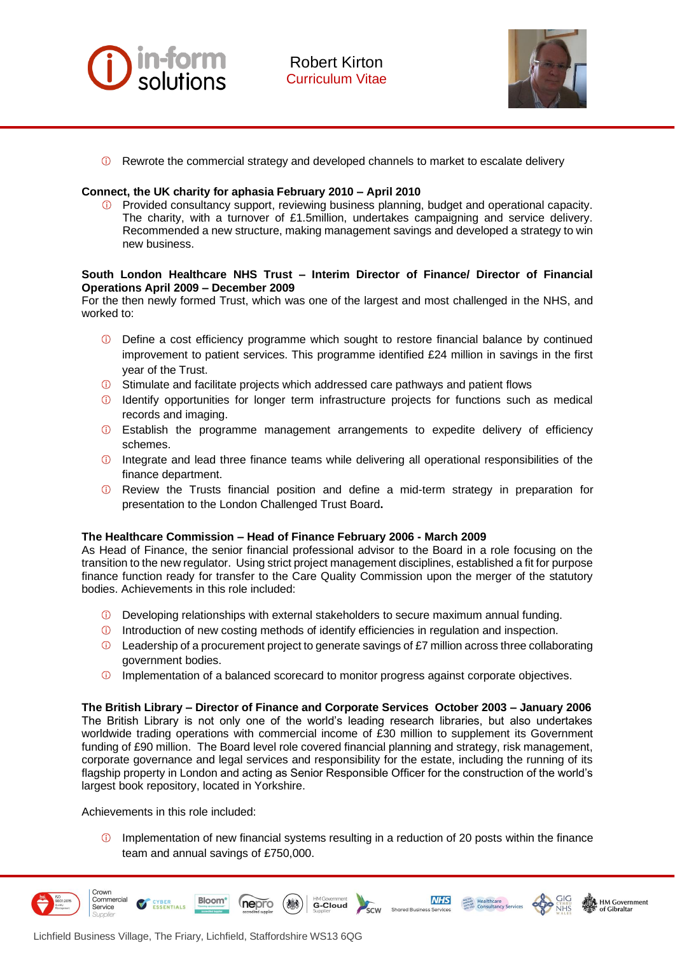

**C** Rewrote the commercial strategy and developed channels to market to escalate delivery

### **Connect, the UK charity for aphasia February 2010 – April 2010**

Provided consultancy support, reviewing business planning, budget and operational capacity. The charity, with a turnover of £1.5million, undertakes campaigning and service delivery. Recommended a new structure, making management savings and developed a strategy to win new business.

## **South London Healthcare NHS Trust – Interim Director of Finance/ Director of Financial Operations April 2009 – December 2009**

For the then newly formed Trust, which was one of the largest and most challenged in the NHS, and worked to:

- Define a cost efficiency programme which sought to restore financial balance by continued improvement to patient services. This programme identified £24 million in savings in the first year of the Trust.
- $\circled{1}$  Stimulate and facilitate projects which addressed care pathways and patient flows
- <sup>1</sup> Identify opportunities for longer term infrastructure projects for functions such as medical records and imaging.
- Establish the programme management arrangements to expedite delivery of efficiency schemes.
- **ID** Integrate and lead three finance teams while delivering all operational responsibilities of the finance department.
- Review the Trusts financial position and define a mid-term strategy in preparation for presentation to the London Challenged Trust Board**.**

### **The Healthcare Commission – Head of Finance February 2006 - March 2009**

As Head of Finance, the senior financial professional advisor to the Board in a role focusing on the transition to the new regulator. Using strict project management disciplines, established a fit for purpose finance function ready for transfer to the Care Quality Commission upon the merger of the statutory bodies. Achievements in this role included:

- **D** Developing relationships with external stakeholders to secure maximum annual funding.
- Introduction of new costing methods of identify efficiencies in regulation and inspection.
- $\bullet$  Leadership of a procurement project to generate savings of £7 million across three collaborating government bodies.
- **1** Implementation of a balanced scorecard to monitor progress against corporate objectives.

### **The British Library – Director of Finance and Corporate Services October 2003 – January 2006** The British Library is not only one of the world's leading research libraries, but also undertakes

worldwide trading operations with commercial income of £30 million to supplement its Government funding of £90 million. The Board level role covered financial planning and strategy, risk management, corporate governance and legal services and responsibility for the estate, including the running of its flagship property in London and acting as Senior Responsible Officer for the construction of the world's largest book repository, located in Yorkshire.

Achievements in this role included:

 $\circled{1}$  Implementation of new financial systems resulting in a reduction of 20 posts within the finance team and annual savings of £750,000.

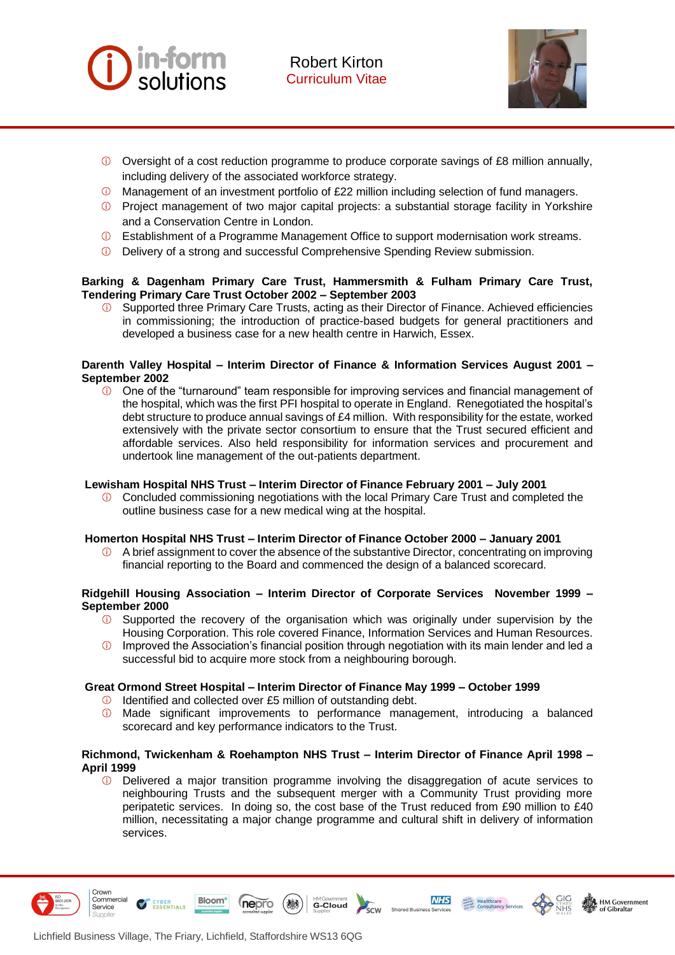



- Oversight of a cost reduction programme to produce corporate savings of £8 million annually, including delivery of the associated workforce strategy.
- Management of an investment portfolio of £22 million including selection of fund managers.
- Project management of two major capital projects: a substantial storage facility in Yorkshire and a Conservation Centre in London.
- Establishment of a Programme Management Office to support modernisation work streams.
- Delivery of a strong and successful Comprehensive Spending Review submission.

## **Barking & Dagenham Primary Care Trust, Hammersmith & Fulham Primary Care Trust, Tendering Primary Care Trust October 2002 – September 2003**

Supported three Primary Care Trusts, acting as their Director of Finance. Achieved efficiencies in commissioning; the introduction of practice-based budgets for general practitioners and developed a business case for a new health centre in Harwich, Essex.

### **Darenth Valley Hospital – Interim Director of Finance & Information Services August 2001 – September 2002**

 $\odot$  One of the "turnaround" team responsible for improving services and financial management of the hospital, which was the first PFI hospital to operate in England. Renegotiated the hospital's debt structure to produce annual savings of £4 million. With responsibility for the estate, worked extensively with the private sector consortium to ensure that the Trust secured efficient and affordable services. Also held responsibility for information services and procurement and undertook line management of the out-patients department.

### **Lewisham Hospital NHS Trust – Interim Director of Finance February 2001 – July 2001**

 $\bigcirc$ Concluded commissioning negotiations with the local Primary Care Trust and completed the outline business case for a new medical wing at the hospital.

### **Homerton Hospital NHS Trust – Interim Director of Finance October 2000 – January 2001**

A brief assignment to cover the absence of the substantive Director, concentrating on improving  $\bigcirc$ financial reporting to the Board and commenced the design of a balanced scorecard.

### **Ridgehill Housing Association – Interim Director of Corporate Services November 1999 – September 2000**

- **C** Supported the recovery of the organisation which was originally under supervision by the Housing Corporation. This role covered Finance, Information Services and Human Resources.
- Improved the Association's financial position through negotiation with its main lender and led a  $\bigcap$ successful bid to acquire more stock from a neighbouring borough.

# **Great Ormond Street Hospital – Interim Director of Finance May 1999 – October 1999**

**ID** Identified and collected over £5 million of outstanding debt.

nepro

Made significant improvements to performance management, introducing a balanced scorecard and key performance indicators to the Trust.

## **Richmond, Twickenham & Roehampton NHS Trust – Interim Director of Finance April 1998 – April 1999**

 $\bigcap$ Delivered a major transition programme involving the disaggregation of acute services to neighbouring Trusts and the subsequent merger with a Community Trust providing more peripatetic services. In doing so, the cost base of the Trust reduced from £90 million to £40 million, necessitating a major change programme and cultural shift in delivery of information services.



Crown Commercial

Service





**NHS** 



ESSENTIALS

**Bloom**